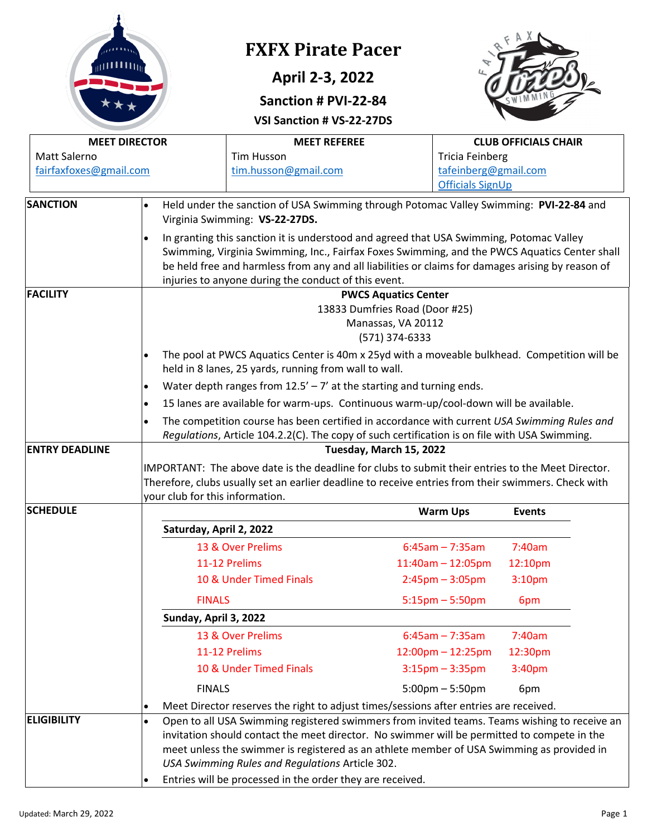|                                                                                                                                                                                                                          |                                                                                                                                                                                                                                                                                                                                                                                                                                                                | <b>FXFX Pirate Pacer</b><br>April 2-3, 2022<br>Sanction # PVI-22-84<br>VSI Sanction # VS-22-27DS                                                                                                                                                                                                                                                                                                                                                                                  |                                                                                   |                                         |  |  |
|--------------------------------------------------------------------------------------------------------------------------------------------------------------------------------------------------------------------------|----------------------------------------------------------------------------------------------------------------------------------------------------------------------------------------------------------------------------------------------------------------------------------------------------------------------------------------------------------------------------------------------------------------------------------------------------------------|-----------------------------------------------------------------------------------------------------------------------------------------------------------------------------------------------------------------------------------------------------------------------------------------------------------------------------------------------------------------------------------------------------------------------------------------------------------------------------------|-----------------------------------------------------------------------------------|-----------------------------------------|--|--|
|                                                                                                                                                                                                                          | <b>MEET DIRECTOR</b>                                                                                                                                                                                                                                                                                                                                                                                                                                           | <b>MEET REFEREE</b>                                                                                                                                                                                                                                                                                                                                                                                                                                                               |                                                                                   | <b>CLUB OFFICIALS CHAIR</b>             |  |  |
| Matt Salerno<br>fairfaxfoxes@gmail.com                                                                                                                                                                                   |                                                                                                                                                                                                                                                                                                                                                                                                                                                                | <b>Tim Husson</b><br>tim.husson@gmail.com                                                                                                                                                                                                                                                                                                                                                                                                                                         | <b>Tricia Feinberg</b><br><b>Officials SignUp</b>                                 | tafeinberg@gmail.com                    |  |  |
| <b>SANCTION</b>                                                                                                                                                                                                          |                                                                                                                                                                                                                                                                                                                                                                                                                                                                | Held under the sanction of USA Swimming through Potomac Valley Swimming: PVI-22-84 and<br>Virginia Swimming: VS-22-27DS.<br>In granting this sanction it is understood and agreed that USA Swimming, Potomac Valley<br>Swimming, Virginia Swimming, Inc., Fairfax Foxes Swimming, and the PWCS Aquatics Center shall<br>be held free and harmless from any and all liabilities or claims for damages arising by reason of<br>injuries to anyone during the conduct of this event. |                                                                                   |                                         |  |  |
| <b>FACILITY</b><br><b>PWCS Aquatics Center</b><br>13833 Dumfries Road (Door #25)<br>Manassas, VA 20112<br>(571) 374-6333<br>The pool at PWCS Aquatics Center is 40m x 25yd with a moveable bulkhead. Competition will be |                                                                                                                                                                                                                                                                                                                                                                                                                                                                |                                                                                                                                                                                                                                                                                                                                                                                                                                                                                   |                                                                                   |                                         |  |  |
|                                                                                                                                                                                                                          | held in 8 lanes, 25 yards, running from wall to wall.<br>Water depth ranges from $12.5' - 7'$ at the starting and turning ends.<br>$\bullet$<br>15 lanes are available for warm-ups. Continuous warm-up/cool-down will be available.<br>$\bullet$<br>The competition course has been certified in accordance with current USA Swimming Rules and<br>$\bullet$<br>Regulations, Article 104.2.2(C). The copy of such certification is on file with USA Swimming. |                                                                                                                                                                                                                                                                                                                                                                                                                                                                                   |                                                                                   |                                         |  |  |
| <b>ENTRY DEADLINE</b>                                                                                                                                                                                                    | your club for this information.                                                                                                                                                                                                                                                                                                                                                                                                                                | IMPORTANT: The above date is the deadline for clubs to submit their entries to the Meet Director.<br>Therefore, clubs usually set an earlier deadline to receive entries from their swimmers. Check with                                                                                                                                                                                                                                                                          | Tuesday, March 15, 2022                                                           |                                         |  |  |
| <b>SCHEDULE</b>                                                                                                                                                                                                          |                                                                                                                                                                                                                                                                                                                                                                                                                                                                |                                                                                                                                                                                                                                                                                                                                                                                                                                                                                   | <b>Warm Ups</b>                                                                   | <b>Events</b>                           |  |  |
|                                                                                                                                                                                                                          |                                                                                                                                                                                                                                                                                                                                                                                                                                                                | Saturday, April 2, 2022                                                                                                                                                                                                                                                                                                                                                                                                                                                           |                                                                                   |                                         |  |  |
|                                                                                                                                                                                                                          |                                                                                                                                                                                                                                                                                                                                                                                                                                                                | 13 & Over Prelims<br>11-12 Prelims<br>10 & Under Timed Finals                                                                                                                                                                                                                                                                                                                                                                                                                     | $6:45am - 7:35am$<br>$11:40$ am - $12:05$ pm<br>$2:45 \text{pm} - 3:05 \text{pm}$ | 7:40am<br>12:10pm<br>3:10 <sub>pm</sub> |  |  |
|                                                                                                                                                                                                                          | <b>FINALS</b>                                                                                                                                                                                                                                                                                                                                                                                                                                                  |                                                                                                                                                                                                                                                                                                                                                                                                                                                                                   | $5:15 \text{pm} - 5:50 \text{pm}$                                                 | 6pm                                     |  |  |
|                                                                                                                                                                                                                          | Sunday, April 3, 2022                                                                                                                                                                                                                                                                                                                                                                                                                                          |                                                                                                                                                                                                                                                                                                                                                                                                                                                                                   |                                                                                   |                                         |  |  |
|                                                                                                                                                                                                                          |                                                                                                                                                                                                                                                                                                                                                                                                                                                                | 13 & Over Prelims                                                                                                                                                                                                                                                                                                                                                                                                                                                                 | $6:45am - 7:35am$                                                                 | 7:40am                                  |  |  |
|                                                                                                                                                                                                                          |                                                                                                                                                                                                                                                                                                                                                                                                                                                                | 11-12 Prelims<br>10 & Under Timed Finals                                                                                                                                                                                                                                                                                                                                                                                                                                          | $12:00$ pm $- 12:25$ pm                                                           | 12:30pm                                 |  |  |
|                                                                                                                                                                                                                          | <b>FINALS</b>                                                                                                                                                                                                                                                                                                                                                                                                                                                  |                                                                                                                                                                                                                                                                                                                                                                                                                                                                                   | $3:15 \text{pm} - 3:35 \text{pm}$<br>$5:00 \text{pm} - 5:50 \text{pm}$            | 3:40pm<br>6pm                           |  |  |
|                                                                                                                                                                                                                          |                                                                                                                                                                                                                                                                                                                                                                                                                                                                | Meet Director reserves the right to adjust times/sessions after entries are received.                                                                                                                                                                                                                                                                                                                                                                                             |                                                                                   |                                         |  |  |
| <b>ELIGIBILITY</b>                                                                                                                                                                                                       | $\bullet$<br>$\bullet$                                                                                                                                                                                                                                                                                                                                                                                                                                         | Open to all USA Swimming registered swimmers from invited teams. Teams wishing to receive an<br>invitation should contact the meet director. No swimmer will be permitted to compete in the<br>meet unless the swimmer is registered as an athlete member of USA Swimming as provided in<br>USA Swimming Rules and Regulations Article 302.<br>Entries will be processed in the order they are received.                                                                          |                                                                                   |                                         |  |  |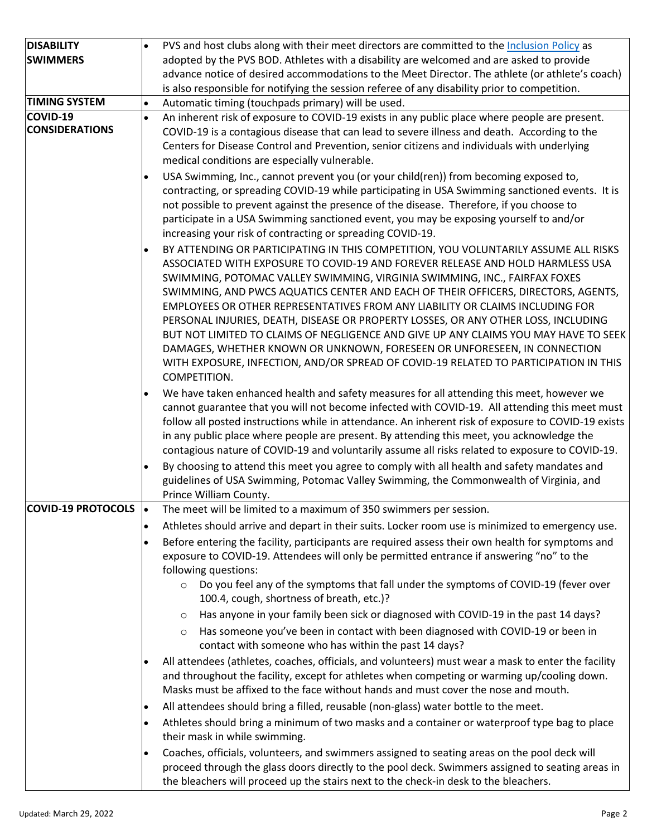| <b>DISABILITY</b>         | PVS and host clubs along with their meet directors are committed to the Inclusion Policy as                                                                                                        |
|---------------------------|----------------------------------------------------------------------------------------------------------------------------------------------------------------------------------------------------|
| <b>SWIMMERS</b>           | adopted by the PVS BOD. Athletes with a disability are welcomed and are asked to provide                                                                                                           |
|                           | advance notice of desired accommodations to the Meet Director. The athlete (or athlete's coach)                                                                                                    |
|                           | is also responsible for notifying the session referee of any disability prior to competition.                                                                                                      |
| <b>TIMING SYSTEM</b>      | Automatic timing (touchpads primary) will be used.<br>$\bullet$                                                                                                                                    |
| COVID-19                  | An inherent risk of exposure to COVID-19 exists in any public place where people are present.<br>$\bullet$                                                                                         |
| <b>CONSIDERATIONS</b>     | COVID-19 is a contagious disease that can lead to severe illness and death. According to the                                                                                                       |
|                           | Centers for Disease Control and Prevention, senior citizens and individuals with underlying                                                                                                        |
|                           | medical conditions are especially vulnerable.                                                                                                                                                      |
|                           | USA Swimming, Inc., cannot prevent you (or your child(ren)) from becoming exposed to,                                                                                                              |
|                           | contracting, or spreading COVID-19 while participating in USA Swimming sanctioned events. It is                                                                                                    |
|                           | not possible to prevent against the presence of the disease. Therefore, if you choose to                                                                                                           |
|                           | participate in a USA Swimming sanctioned event, you may be exposing yourself to and/or                                                                                                             |
|                           | increasing your risk of contracting or spreading COVID-19.                                                                                                                                         |
|                           | BY ATTENDING OR PARTICIPATING IN THIS COMPETITION, YOU VOLUNTARILY ASSUME ALL RISKS                                                                                                                |
|                           | ASSOCIATED WITH EXPOSURE TO COVID-19 AND FOREVER RELEASE AND HOLD HARMLESS USA                                                                                                                     |
|                           | SWIMMING, POTOMAC VALLEY SWIMMING, VIRGINIA SWIMMING, INC., FAIRFAX FOXES                                                                                                                          |
|                           | SWIMMING, AND PWCS AQUATICS CENTER AND EACH OF THEIR OFFICERS, DIRECTORS, AGENTS,                                                                                                                  |
|                           | EMPLOYEES OR OTHER REPRESENTATIVES FROM ANY LIABILITY OR CLAIMS INCLUDING FOR                                                                                                                      |
|                           | PERSONAL INJURIES, DEATH, DISEASE OR PROPERTY LOSSES, OR ANY OTHER LOSS, INCLUDING                                                                                                                 |
|                           | BUT NOT LIMITED TO CLAIMS OF NEGLIGENCE AND GIVE UP ANY CLAIMS YOU MAY HAVE TO SEEK                                                                                                                |
|                           | DAMAGES, WHETHER KNOWN OR UNKNOWN, FORESEEN OR UNFORESEEN, IN CONNECTION                                                                                                                           |
|                           | WITH EXPOSURE, INFECTION, AND/OR SPREAD OF COVID-19 RELATED TO PARTICIPATION IN THIS                                                                                                               |
|                           | COMPETITION.                                                                                                                                                                                       |
|                           | We have taken enhanced health and safety measures for all attending this meet, however we                                                                                                          |
|                           | cannot guarantee that you will not become infected with COVID-19. All attending this meet must                                                                                                     |
|                           | follow all posted instructions while in attendance. An inherent risk of exposure to COVID-19 exists                                                                                                |
|                           | in any public place where people are present. By attending this meet, you acknowledge the                                                                                                          |
|                           | contagious nature of COVID-19 and voluntarily assume all risks related to exposure to COVID-19.                                                                                                    |
|                           | By choosing to attend this meet you agree to comply with all health and safety mandates and                                                                                                        |
|                           | guidelines of USA Swimming, Potomac Valley Swimming, the Commonwealth of Virginia, and<br>Prince William County.                                                                                   |
| <b>COVID-19 PROTOCOLS</b> | The meet will be limited to a maximum of 350 swimmers per session.                                                                                                                                 |
|                           | Athletes should arrive and depart in their suits. Locker room use is minimized to emergency use.<br>$\bullet$                                                                                      |
|                           |                                                                                                                                                                                                    |
|                           | Before entering the facility, participants are required assess their own health for symptoms and<br>$\bullet$                                                                                      |
|                           | exposure to COVID-19. Attendees will only be permitted entrance if answering "no" to the<br>following questions:                                                                                   |
|                           | Do you feel any of the symptoms that fall under the symptoms of COVID-19 (fever over<br>$\circ$                                                                                                    |
|                           | 100.4, cough, shortness of breath, etc.)?                                                                                                                                                          |
|                           | Has anyone in your family been sick or diagnosed with COVID-19 in the past 14 days?<br>$\circ$                                                                                                     |
|                           | Has someone you've been in contact with been diagnosed with COVID-19 or been in                                                                                                                    |
|                           | $\circ$<br>contact with someone who has within the past 14 days?                                                                                                                                   |
|                           |                                                                                                                                                                                                    |
|                           | All attendees (athletes, coaches, officials, and volunteers) must wear a mask to enter the facility<br>and throughout the facility, except for athletes when competing or warming up/cooling down. |
|                           | Masks must be affixed to the face without hands and must cover the nose and mouth.                                                                                                                 |
|                           |                                                                                                                                                                                                    |
|                           | All attendees should bring a filled, reusable (non-glass) water bottle to the meet.<br>$\bullet$                                                                                                   |
|                           | Athletes should bring a minimum of two masks and a container or waterproof type bag to place<br>$\bullet$                                                                                          |
|                           | their mask in while swimming.                                                                                                                                                                      |
|                           | Coaches, officials, volunteers, and swimmers assigned to seating areas on the pool deck will<br>$\bullet$                                                                                          |
|                           | proceed through the glass doors directly to the pool deck. Swimmers assigned to seating areas in                                                                                                   |
|                           | the bleachers will proceed up the stairs next to the check-in desk to the bleachers.                                                                                                               |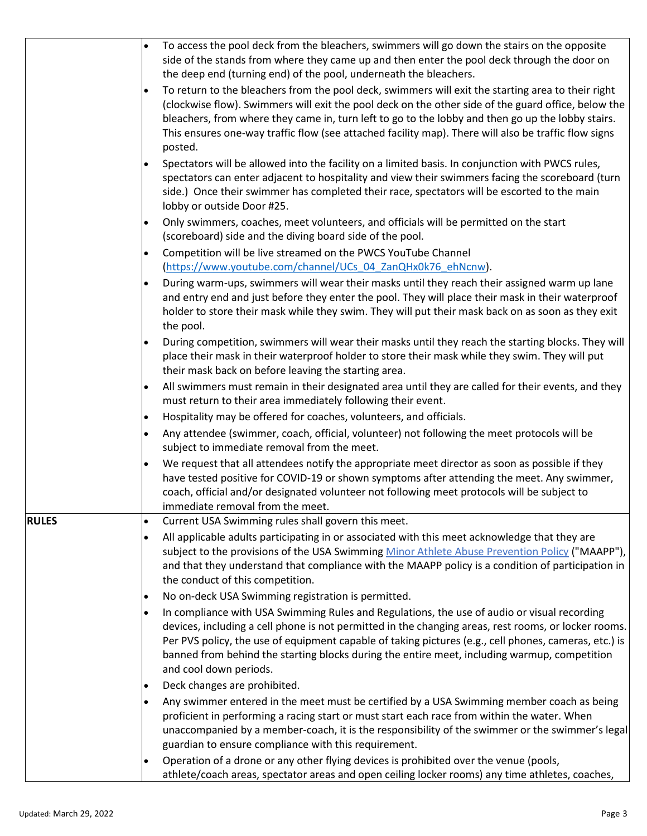|              | $\bullet$ | To access the pool deck from the bleachers, swimmers will go down the stairs on the opposite<br>side of the stands from where they came up and then enter the pool deck through the door on<br>the deep end (turning end) of the pool, underneath the bleachers.                                                                                                                                                                       |
|--------------|-----------|----------------------------------------------------------------------------------------------------------------------------------------------------------------------------------------------------------------------------------------------------------------------------------------------------------------------------------------------------------------------------------------------------------------------------------------|
|              | $\bullet$ | To return to the bleachers from the pool deck, swimmers will exit the starting area to their right<br>(clockwise flow). Swimmers will exit the pool deck on the other side of the guard office, below the<br>bleachers, from where they came in, turn left to go to the lobby and then go up the lobby stairs.<br>This ensures one-way traffic flow (see attached facility map). There will also be traffic flow signs<br>posted.      |
|              |           | Spectators will be allowed into the facility on a limited basis. In conjunction with PWCS rules,<br>spectators can enter adjacent to hospitality and view their swimmers facing the scoreboard (turn<br>side.) Once their swimmer has completed their race, spectators will be escorted to the main<br>lobby or outside Door #25.                                                                                                      |
|              | $\bullet$ | Only swimmers, coaches, meet volunteers, and officials will be permitted on the start<br>(scoreboard) side and the diving board side of the pool.                                                                                                                                                                                                                                                                                      |
|              |           | Competition will be live streamed on the PWCS YouTube Channel<br>(https://www.youtube.com/channel/UCs 04 ZanQHx0k76 ehNcnw).                                                                                                                                                                                                                                                                                                           |
|              |           | During warm-ups, swimmers will wear their masks until they reach their assigned warm up lane<br>and entry end and just before they enter the pool. They will place their mask in their waterproof<br>holder to store their mask while they swim. They will put their mask back on as soon as they exit<br>the pool.                                                                                                                    |
|              |           | During competition, swimmers will wear their masks until they reach the starting blocks. They will<br>place their mask in their waterproof holder to store their mask while they swim. They will put<br>their mask back on before leaving the starting area.                                                                                                                                                                           |
|              | $\bullet$ | All swimmers must remain in their designated area until they are called for their events, and they<br>must return to their area immediately following their event.                                                                                                                                                                                                                                                                     |
|              | $\bullet$ | Hospitality may be offered for coaches, volunteers, and officials.                                                                                                                                                                                                                                                                                                                                                                     |
|              |           | Any attendee (swimmer, coach, official, volunteer) not following the meet protocols will be<br>subject to immediate removal from the meet.                                                                                                                                                                                                                                                                                             |
|              | $\bullet$ | We request that all attendees notify the appropriate meet director as soon as possible if they<br>have tested positive for COVID-19 or shown symptoms after attending the meet. Any swimmer,<br>coach, official and/or designated volunteer not following meet protocols will be subject to                                                                                                                                            |
| <b>RULES</b> | $\bullet$ | immediate removal from the meet.<br>Current USA Swimming rules shall govern this meet.                                                                                                                                                                                                                                                                                                                                                 |
|              | $\bullet$ | All applicable adults participating in or associated with this meet acknowledge that they are<br>subject to the provisions of the USA Swimming Minor Athlete Abuse Prevention Policy ("MAAPP"),<br>and that they understand that compliance with the MAAPP policy is a condition of participation in<br>the conduct of this competition.                                                                                               |
|              |           | No on-deck USA Swimming registration is permitted.                                                                                                                                                                                                                                                                                                                                                                                     |
|              |           | In compliance with USA Swimming Rules and Regulations, the use of audio or visual recording<br>devices, including a cell phone is not permitted in the changing areas, rest rooms, or locker rooms.<br>Per PVS policy, the use of equipment capable of taking pictures (e.g., cell phones, cameras, etc.) is<br>banned from behind the starting blocks during the entire meet, including warmup, competition<br>and cool down periods. |
|              | $\bullet$ | Deck changes are prohibited.                                                                                                                                                                                                                                                                                                                                                                                                           |
|              |           | Any swimmer entered in the meet must be certified by a USA Swimming member coach as being<br>proficient in performing a racing start or must start each race from within the water. When<br>unaccompanied by a member-coach, it is the responsibility of the swimmer or the swimmer's legal<br>guardian to ensure compliance with this requirement.                                                                                    |
|              |           | Operation of a drone or any other flying devices is prohibited over the venue (pools,<br>athlete/coach areas, spectator areas and open ceiling locker rooms) any time athletes, coaches,                                                                                                                                                                                                                                               |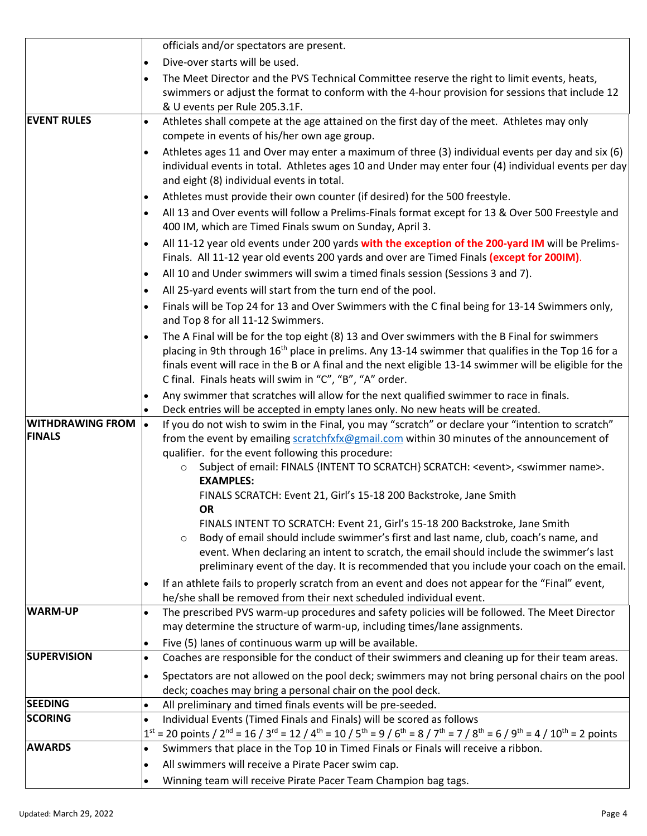|                            | officials and/or spectators are present.                                                                                                                                                                                              |
|----------------------------|---------------------------------------------------------------------------------------------------------------------------------------------------------------------------------------------------------------------------------------|
|                            | Dive-over starts will be used.<br>$\bullet$                                                                                                                                                                                           |
|                            | The Meet Director and the PVS Technical Committee reserve the right to limit events, heats,<br>$\bullet$                                                                                                                              |
|                            | swimmers or adjust the format to conform with the 4-hour provision for sessions that include 12                                                                                                                                       |
|                            | & U events per Rule 205.3.1F.                                                                                                                                                                                                         |
| <b>EVENT RULES</b>         | Athletes shall compete at the age attained on the first day of the meet. Athletes may only<br>$\bullet$                                                                                                                               |
|                            | compete in events of his/her own age group.                                                                                                                                                                                           |
|                            | Athletes ages 11 and Over may enter a maximum of three (3) individual events per day and six (6)<br>$\bullet$                                                                                                                         |
|                            | individual events in total. Athletes ages 10 and Under may enter four (4) individual events per day                                                                                                                                   |
|                            | and eight (8) individual events in total.                                                                                                                                                                                             |
|                            | Athletes must provide their own counter (if desired) for the 500 freestyle.<br>$\bullet$                                                                                                                                              |
|                            | All 13 and Over events will follow a Prelims-Finals format except for 13 & Over 500 Freestyle and<br>$\bullet$                                                                                                                        |
|                            | 400 IM, which are Timed Finals swum on Sunday, April 3.                                                                                                                                                                               |
|                            | All 11-12 year old events under 200 yards with the exception of the 200-yard IM will be Prelims-<br>$\bullet$<br>Finals. All 11-12 year old events 200 yards and over are Timed Finals (except for 200IM).                            |
|                            | All 10 and Under swimmers will swim a timed finals session (Sessions 3 and 7).<br>$\bullet$                                                                                                                                           |
|                            | All 25-yard events will start from the turn end of the pool.<br>$\bullet$                                                                                                                                                             |
|                            | Finals will be Top 24 for 13 and Over Swimmers with the C final being for 13-14 Swimmers only,<br>$\bullet$                                                                                                                           |
|                            | and Top 8 for all 11-12 Swimmers.                                                                                                                                                                                                     |
|                            | The A Final will be for the top eight (8) 13 and Over swimmers with the B Final for swimmers<br>$\bullet$                                                                                                                             |
|                            | placing in 9th through 16 <sup>th</sup> place in prelims. Any 13-14 swimmer that qualifies in the Top 16 for a                                                                                                                        |
|                            | finals event will race in the B or A final and the next eligible 13-14 swimmer will be eligible for the                                                                                                                               |
|                            | C final. Finals heats will swim in "C", "B", "A" order.                                                                                                                                                                               |
|                            | Any swimmer that scratches will allow for the next qualified swimmer to race in finals.<br>$\bullet$<br>Deck entries will be accepted in empty lanes only. No new heats will be created.                                              |
| <b>WITHDRAWING FROM  .</b> | If you do not wish to swim in the Final, you may "scratch" or declare your "intention to scratch"                                                                                                                                     |
| <b>FINALS</b>              | from the event by emailing scratchfxfx@gmail.com within 30 minutes of the announcement of                                                                                                                                             |
|                            | qualifier. for the event following this procedure:                                                                                                                                                                                    |
|                            | Subject of email: FINALS {INTENT TO SCRATCH} SCRATCH: <event>, <swimmer name="">.</swimmer></event>                                                                                                                                   |
|                            | <b>EXAMPLES:</b>                                                                                                                                                                                                                      |
|                            | FINALS SCRATCH: Event 21, Girl's 15-18 200 Backstroke, Jane Smith                                                                                                                                                                     |
|                            | <b>OR</b>                                                                                                                                                                                                                             |
|                            | FINALS INTENT TO SCRATCH: Event 21, Girl's 15-18 200 Backstroke, Jane Smith                                                                                                                                                           |
|                            | Body of email should include swimmer's first and last name, club, coach's name, and<br>$\circ$<br>event. When declaring an intent to scratch, the email should include the swimmer's last                                             |
|                            | preliminary event of the day. It is recommended that you include your coach on the email.                                                                                                                                             |
|                            | If an athlete fails to properly scratch from an event and does not appear for the "Final" event,<br>$\bullet$                                                                                                                         |
|                            | he/she shall be removed from their next scheduled individual event.                                                                                                                                                                   |
| <b>WARM-UP</b>             | The prescribed PVS warm-up procedures and safety policies will be followed. The Meet Director<br>$\bullet$                                                                                                                            |
|                            | may determine the structure of warm-up, including times/lane assignments.                                                                                                                                                             |
|                            | Five (5) lanes of continuous warm up will be available.<br>$\bullet$                                                                                                                                                                  |
| <b>SUPERVISION</b>         | Coaches are responsible for the conduct of their swimmers and cleaning up for their team areas.<br>$\bullet$                                                                                                                          |
|                            | Spectators are not allowed on the pool deck; swimmers may not bring personal chairs on the pool<br>$\bullet$                                                                                                                          |
|                            | deck; coaches may bring a personal chair on the pool deck.                                                                                                                                                                            |
| <b>SEEDING</b>             | All preliminary and timed finals events will be pre-seeded.<br>$\bullet$                                                                                                                                                              |
| <b>SCORING</b>             | Individual Events (Timed Finals and Finals) will be scored as follows<br>$\bullet$                                                                                                                                                    |
|                            | $1^{st}$ = 20 points / 2 <sup>nd</sup> = 16 / 3 <sup>rd</sup> = 12 / 4 <sup>th</sup> = 10 / 5 <sup>th</sup> = 9 / 6 <sup>th</sup> = 8 / 7 <sup>th</sup> = 7 / 8 <sup>th</sup> = 6 / 9 <sup>th</sup> = 4 / 10 <sup>th</sup> = 2 points |
| <b>AWARDS</b>              | Swimmers that place in the Top 10 in Timed Finals or Finals will receive a ribbon.<br>$\bullet$                                                                                                                                       |
|                            | All swimmers will receive a Pirate Pacer swim cap.<br>$\bullet$                                                                                                                                                                       |
|                            | Winning team will receive Pirate Pacer Team Champion bag tags.<br>$\bullet$                                                                                                                                                           |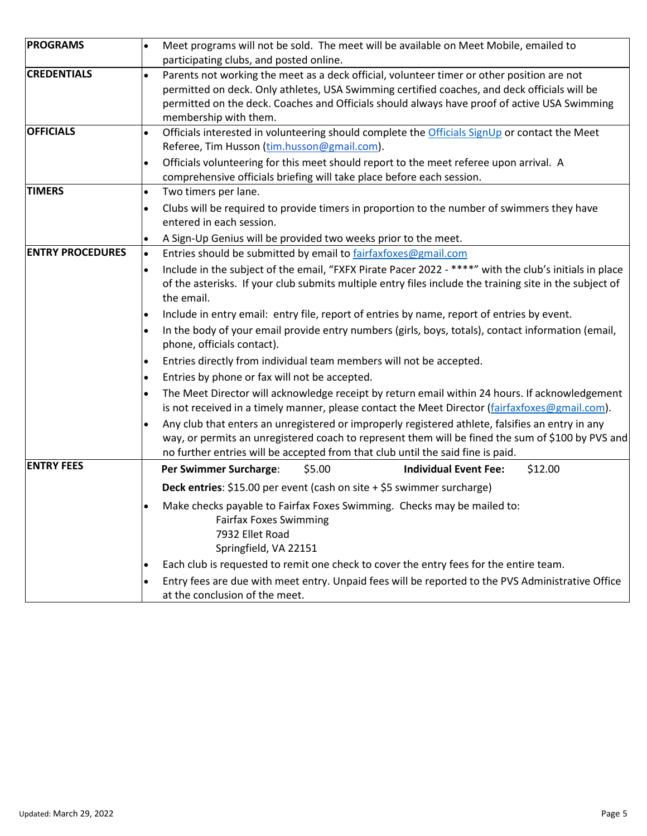| <b>PROGRAMS</b>         | $\bullet$ | Meet programs will not be sold. The meet will be available on Meet Mobile, emailed to                                                                |
|-------------------------|-----------|------------------------------------------------------------------------------------------------------------------------------------------------------|
|                         |           | participating clubs, and posted online.                                                                                                              |
| <b>CREDENTIALS</b>      | $\bullet$ | Parents not working the meet as a deck official, volunteer timer or other position are not                                                           |
|                         |           | permitted on deck. Only athletes, USA Swimming certified coaches, and deck officials will be                                                         |
|                         |           | permitted on the deck. Coaches and Officials should always have proof of active USA Swimming                                                         |
|                         |           | membership with them.                                                                                                                                |
| <b>OFFICIALS</b>        | $\bullet$ | Officials interested in volunteering should complete the Officials SignUp or contact the Meet                                                        |
|                         |           | Referee, Tim Husson (tim.husson@gmail.com).                                                                                                          |
|                         | $\bullet$ | Officials volunteering for this meet should report to the meet referee upon arrival. A                                                               |
|                         |           | comprehensive officials briefing will take place before each session.                                                                                |
| <b>TIMERS</b>           | $\bullet$ | Two timers per lane.                                                                                                                                 |
|                         | $\bullet$ | Clubs will be required to provide timers in proportion to the number of swimmers they have                                                           |
|                         |           | entered in each session.                                                                                                                             |
|                         | $\bullet$ | A Sign-Up Genius will be provided two weeks prior to the meet.                                                                                       |
| <b>ENTRY PROCEDURES</b> | $\bullet$ | Entries should be submitted by email to fairfaxfoxes@gmail.com                                                                                       |
|                         | $\bullet$ | Include in the subject of the email, "FXFX Pirate Pacer 2022 - ****" with the club's initials in place                                               |
|                         |           | of the asterisks. If your club submits multiple entry files include the training site in the subject of                                              |
|                         |           | the email.                                                                                                                                           |
|                         | ٠         | Include in entry email: entry file, report of entries by name, report of entries by event.                                                           |
|                         | $\bullet$ | In the body of your email provide entry numbers (girls, boys, totals), contact information (email,<br>phone, officials contact).                     |
|                         | $\bullet$ | Entries directly from individual team members will not be accepted.                                                                                  |
|                         | $\bullet$ | Entries by phone or fax will not be accepted.                                                                                                        |
|                         | $\bullet$ | The Meet Director will acknowledge receipt by return email within 24 hours. If acknowledgement                                                       |
|                         |           | is not received in a timely manner, please contact the Meet Director (fairfaxfoxes@gmail.com).                                                       |
|                         | $\bullet$ | Any club that enters an unregistered or improperly registered athlete, falsifies an entry in any                                                     |
|                         |           | way, or permits an unregistered coach to represent them will be fined the sum of \$100 by PVS and                                                    |
|                         |           | no further entries will be accepted from that club until the said fine is paid.                                                                      |
| <b>ENTRY FEES</b>       |           | Per Swimmer Surcharge:<br>\$12.00<br>\$5.00<br><b>Individual Event Fee:</b>                                                                          |
|                         |           | Deck entries: \$15.00 per event (cash on site + \$5 swimmer surcharge)                                                                               |
|                         |           | Make checks payable to Fairfax Foxes Swimming. Checks may be mailed to:<br><b>Fairfax Foxes Swimming</b><br>7932 Ellet Road<br>Springfield, VA 22151 |
|                         | ٠         | Each club is requested to remit one check to cover the entry fees for the entire team.                                                               |
|                         | $\bullet$ | Entry fees are due with meet entry. Unpaid fees will be reported to the PVS Administrative Office                                                    |
|                         |           | at the conclusion of the meet.                                                                                                                       |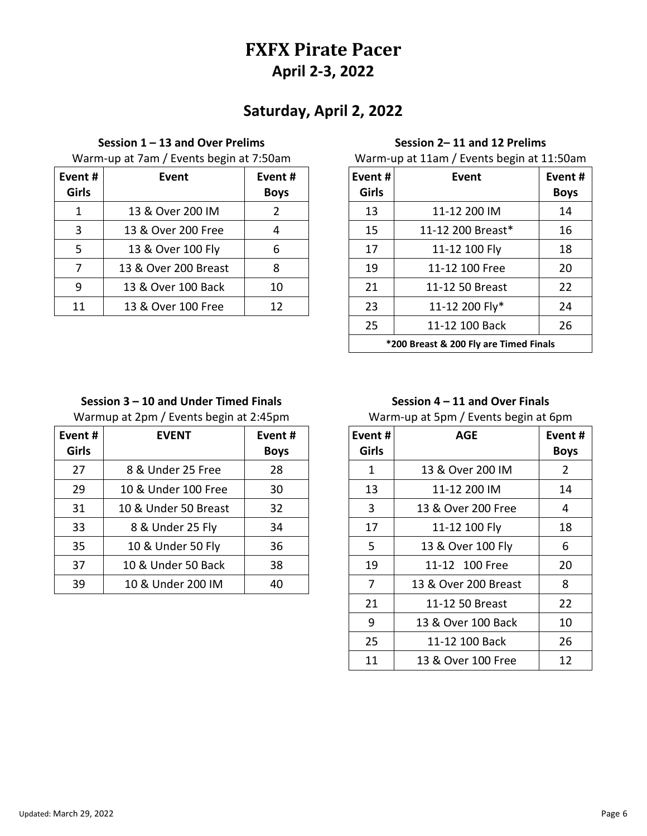# **FXFX Pirate Pacer April 2-3, 2022**

# **Saturday, April 2, 2022**

#### **Session 1 – 13 and Over Prelims**

Warm-up at 7am / Events begin at 7:50am

| Event#<br><b>Girls</b> | Event                | Event#<br><b>Boys</b> | Event#<br><b>Girls</b> | Event             | Even<br>Boy |
|------------------------|----------------------|-----------------------|------------------------|-------------------|-------------|
|                        | 13 & Over 200 IM     | 2                     | 13                     | 11-12 200 IM      | 14          |
| 3                      | 13 & Over 200 Free   | 4                     | 15                     | 11-12 200 Breast* | 16          |
| 5                      | 13 & Over 100 Fly    | 6                     | 17                     | 11-12 100 Fly     | 18          |
|                        | 13 & Over 200 Breast | 8                     | 19                     | 11-12 100 Free    | 20          |
| 9                      | 13 & Over 100 Back   | 10                    | 21                     | 11-12 50 Breast   | 22          |
| 11                     | 13 & Over 100 Free   | 12                    | 23                     | 11-12 200 Fly*    | 24          |
|                        |                      |                       |                        |                   |             |

### **Session 2– 11 and 12 Prelims**

Warm-up at 11am / Events begin at 11:50am

| Event #<br>Girls                       | Event             | Event #<br><b>Boys</b> |  |  |  |
|----------------------------------------|-------------------|------------------------|--|--|--|
| 13                                     | 11-12 200 IM      | 14                     |  |  |  |
| 15                                     | 11-12 200 Breast* | 16                     |  |  |  |
| 17                                     | 11-12 100 Fly     | 18                     |  |  |  |
| 19                                     | 11-12 100 Free    | 20                     |  |  |  |
| 21                                     | 11-12 50 Breast   | 22                     |  |  |  |
| 23                                     | 11-12 200 Fly*    | 24                     |  |  |  |
| 25                                     | 11-12 100 Back    | 26                     |  |  |  |
| *200 Breast & 200 Fly are Timed Finals |                   |                        |  |  |  |

## **Session 3 – 10 and Under Timed Finals**

Warmup at 2pm / Events begin at 2:45pm

| Event #<br><b>Girls</b> | <b>EVENT</b>         | Event#<br><b>Boys</b> | Event #<br><b>Girls</b> | <b>AGE</b>           | Even<br>Boy |
|-------------------------|----------------------|-----------------------|-------------------------|----------------------|-------------|
| 27                      | 8 & Under 25 Free    | 28                    | 1                       | 13 & Over 200 IM     | 2           |
| 29                      | 10 & Under 100 Free  | 30                    | 13                      | 11-12 200 IM         | 14          |
| 31                      | 10 & Under 50 Breast | 32                    | 3                       | 13 & Over 200 Free   | 4           |
| 33                      | 8 & Under 25 Fly     | 34                    | 17                      | 11-12 100 Fly        | 18          |
| 35                      | 10 & Under 50 Fly    | 36                    | .5                      | 13 & Over 100 Fly    | 6           |
| 37                      | 10 & Under 50 Back   | 38                    | 19                      | 11-12 100 Free       | 20          |
| 39                      | 10 & Under 200 IM    | 40                    | 7                       | 13 & Over 200 Breast | 8           |
|                         |                      |                       |                         |                      |             |

## **Session 4 – 11 and Over Finals**

Warm-up at 5pm / Events begin at 6pm

| Event #<br>Girls | <b>AGE</b>           | Event #<br><b>Boys</b> |
|------------------|----------------------|------------------------|
| 1                | 13 & Over 200 IM     | 2                      |
| 13               | 11-12 200 IM         | 14                     |
| 3                | 13 & Over 200 Free   | 4                      |
| 17               | 11-12 100 Fly        |                        |
| 5                | 13 & Over 100 Fly    | 6                      |
| 19               | 11-12 100 Free       |                        |
| 7                | 13 & Over 200 Breast | 8                      |
| 21               | 11-12 50 Breast      | 22                     |
| 9                | 13 & Over 100 Back   | 10                     |
| 25               | 11-12 100 Back       | 26                     |
| 11               | 13 & Over 100 Free   | 12                     |